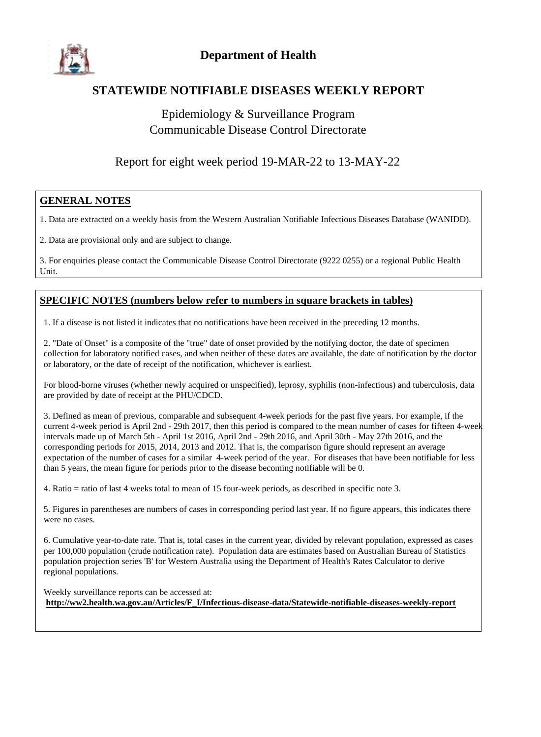

#### **STATEWIDE NOTIFIABLE DISEASES WEEKLY REPORT**

### Epidemiology & Surveillance Program Communicable Disease Control Directorate

#### Report for eight week period 19-MAR-22 to 13-MAY-22

#### **GENERAL NOTES**

1. Data are extracted on a weekly basis from the Western Australian Notifiable Infectious Diseases Database (WANIDD).

2. Data are provisional only and are subject to change.

3. For enquiries please contact the Communicable Disease Control Directorate (9222 0255) or a regional Public Health Unit.

#### **SPECIFIC NOTES (numbers below refer to numbers in square brackets in tables)**

1. If a disease is not listed it indicates that no notifications have been received in the preceding 12 months.

2. "Date of Onset" is a composite of the "true" date of onset provided by the notifying doctor, the date of specimen collection for laboratory notified cases, and when neither of these dates are available, the date of notification by the doctor or laboratory, or the date of receipt of the notification, whichever is earliest.

For blood-borne viruses (whether newly acquired or unspecified), leprosy, syphilis (non-infectious) and tuberculosis, data are provided by date of receipt at the PHU/CDCD.

3. Defined as mean of previous, comparable and subsequent 4-week periods for the past five years. For example, if the current 4-week period is April 2nd - 29th 2017, then this period is compared to the mean number of cases for fifteen 4-week intervals made up of March 5th - April 1st 2016, April 2nd - 29th 2016, and April 30th - May 27th 2016, and the corresponding periods for 2015, 2014, 2013 and 2012. That is, the comparison figure should represent an average expectation of the number of cases for a similar 4-week period of the year. For diseases that have been notifiable for less than 5 years, the mean figure for periods prior to the disease becoming notifiable will be 0.

4. Ratio = ratio of last 4 weeks total to mean of 15 four-week periods, as described in specific note 3.

5. Figures in parentheses are numbers of cases in corresponding period last year. If no figure appears, this indicates there were no cases.

6. Cumulative year-to-date rate. That is, total cases in the current year, divided by relevant population, expressed as cases per 100,000 population (crude notification rate). Population data are estimates based on Australian Bureau of Statistics population projection series 'B' for Western Australia using the Department of Health's Rates Calculator to derive regional populations.

Weekly surveillance reports can be accessed at: **http://ww2.health.wa.gov.au/Articles/F\_I/Infectious-disease-data/Statewide-notifiable-diseases-weekly-report**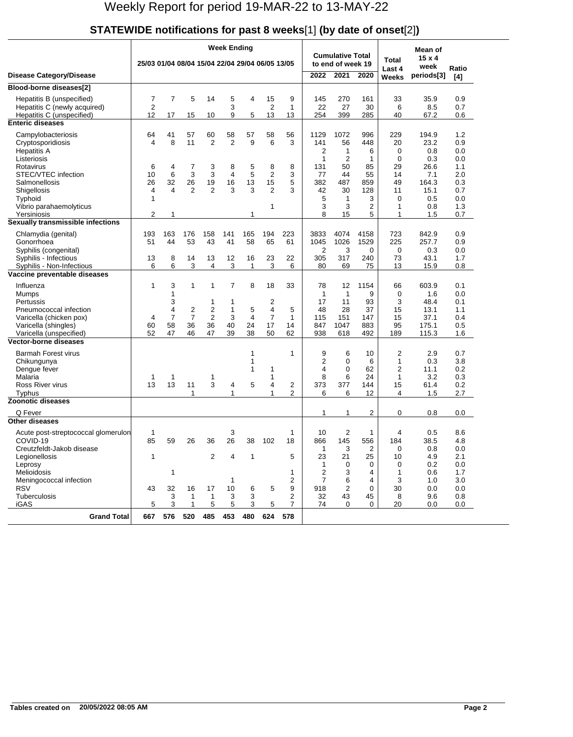| STATEWIDE notifications for past 8 weeks[1] (by date of onset[2]) |  |
|-------------------------------------------------------------------|--|
|                                                                   |  |

|                                                         |                                                 |                |                |                         | <b>Week Ending</b>   |              |                      |                |                    |                                              |              |                                | Mean of               |            |
|---------------------------------------------------------|-------------------------------------------------|----------------|----------------|-------------------------|----------------------|--------------|----------------------|----------------|--------------------|----------------------------------------------|--------------|--------------------------------|-----------------------|------------|
|                                                         | 25/03 01/04 08/04 15/04 22/04 29/04 06/05 13/05 |                |                |                         |                      |              |                      |                |                    | <b>Cumulative Total</b><br>to end of week 19 |              | Total<br>Last 4                | $15 \times 4$<br>week | Ratio      |
| <b>Disease Category/Disease</b>                         |                                                 |                |                |                         |                      |              |                      |                | 2022               | 2021                                         | 2020         | <b>Weeks</b>                   | periods[3]            | [4]        |
| Blood-borne diseases[2]                                 |                                                 |                |                |                         |                      |              |                      |                |                    |                                              |              |                                |                       |            |
| Hepatitis B (unspecified)                               | 7                                               | $\overline{7}$ | 5              | 14                      | 5                    | 4            | 15                   | 9              | 145                | 270                                          | 161          | 33                             | 35.9                  | 0.9        |
| Hepatitis C (newly acquired)                            | $\overline{2}$                                  |                |                |                         | 3                    |              | $\overline{2}$       | 1              | 22                 | 27                                           | 30           | 6                              | 8.5                   | 0.7        |
| Hepatitis C (unspecified)<br><b>Enteric diseases</b>    | 12                                              | 17             | 15             | 10                      | 9                    | 5            | 13                   | 13             | 254                | 399                                          | 285          | 40                             | 67.2                  | 0.6        |
|                                                         |                                                 |                |                |                         |                      |              |                      |                |                    | 1072                                         |              | 229                            |                       |            |
| Campylobacteriosis<br>Cryptosporidiosis                 | 64<br>4                                         | 41<br>8        | 57<br>11       | 60<br>$\overline{2}$    | 58<br>$\overline{2}$ | 57<br>9      | 58<br>6              | 56<br>3        | 1129<br>141        | 56                                           | 996<br>448   | 20                             | 194.9<br>23.2         | 1.2<br>0.9 |
| <b>Hepatitis A</b>                                      |                                                 |                |                |                         |                      |              |                      |                | 2                  | 1                                            | 6            | 0                              | 0.8                   | 0.0        |
| Listeriosis                                             |                                                 |                |                |                         |                      |              |                      |                | 1                  | $\overline{2}$                               | 1            | 0                              | 0.3                   | 0.0        |
| Rotavirus                                               | 6                                               | 4              | 7              | 3                       | 8                    | 5            | 8                    | 8              | 131                | 50                                           | 85           | 29                             | 26.6                  | 1.1        |
| STEC/VTEC infection<br>Salmonellosis                    | 10<br>26                                        | 6<br>32        | 3<br>26        | 3<br>19                 | $\overline{4}$<br>16 | 5<br>13      | $\overline{2}$<br>15 | 3<br>5         | 77<br>382          | 44<br>487                                    | 55<br>859    | 14<br>49                       | 7.1<br>164.3          | 2.0<br>0.3 |
| Shigellosis                                             | 4                                               | 4              | $\overline{2}$ | $\overline{2}$          | 3                    | 3            | $\overline{2}$       | 3              | 42                 | 30                                           | 128          | 11                             | 15.1                  | 0.7        |
| <b>Typhoid</b>                                          | 1                                               |                |                |                         |                      |              |                      |                | 5                  | 1                                            | 3            | 0                              | 0.5                   | 0.0        |
| Vibrio parahaemolyticus                                 |                                                 |                |                |                         |                      |              | 1                    |                | 3                  | 3                                            | 2            | 1                              | 0.8                   | 1.3        |
| Yersiniosis<br>Sexually transmissible infections        | 2                                               | 1              |                |                         |                      | 1            |                      |                | 8                  | 15                                           | 5            | 1                              | 1.5                   | 0.7        |
|                                                         |                                                 |                |                |                         |                      |              |                      |                |                    |                                              |              |                                |                       |            |
| Chlamydia (genital)<br>Gonorrhoea                       | 193<br>51                                       | 163<br>44      | 176<br>53      | 158<br>43               | 141<br>41            | 165<br>58    | 194<br>65            | 223<br>61      | 3833<br>1045       | 4074<br>1026                                 | 4158<br>1529 | 723<br>225                     | 842.9<br>257.7        | 0.9<br>0.9 |
| Syphilis (congenital)                                   |                                                 |                |                |                         |                      |              |                      |                | 2                  | 3                                            | 0            | 0                              | 0.3                   | 0.0        |
| Syphilis - Infectious                                   | 13                                              | 8              | 14             | 13                      | 12                   | 16           | 23                   | 22             | 305                | 317                                          | 240          | 73                             | 43.1                  | 1.7        |
| Syphilis - Non-Infectious                               | 6                                               | 6              | 3              | 4                       | 3                    | 1            | 3                    | 6              | 80                 | 69                                           | 75           | 13                             | 15.9                  | 0.8        |
| Vaccine preventable diseases                            |                                                 |                |                |                         |                      |              |                      |                |                    |                                              |              |                                |                       |            |
| Influenza                                               | 1                                               | 3              | 1              | 1                       | $\overline{7}$       | 8            | 18                   | 33             | 78                 | 12                                           | 1154         | 66                             | 603.9                 | 0.1        |
| Mumps<br>Pertussis                                      |                                                 | 1<br>3         |                | 1                       | 1                    |              | $\overline{2}$       |                | $\mathbf{1}$<br>17 | $\mathbf 1$<br>11                            | 9<br>93      | 0<br>3                         | 1.6<br>48.4           | 0.0<br>0.1 |
| Pneumococcal infection                                  |                                                 | 4              | 2              | $\overline{\mathbf{c}}$ | 1                    | 5            | 4                    | 5              | 48                 | 28                                           | 37           | 15                             | 13.1                  | 1.1        |
| Varicella (chicken pox)                                 | 4                                               | $\overline{7}$ | $\overline{7}$ | $\overline{2}$          | 3                    | 4            | $\overline{7}$       | 1              | 115                | 151                                          | 147          | 15                             | 37.1                  | 0.4        |
| Varicella (shingles)                                    | 60                                              | 58             | 36             | 36                      | 40                   | 24           | 17                   | 14             | 847                | 1047                                         | 883          | 95                             | 175.1                 | 0.5        |
| Varicella (unspecified)<br><b>Vector-borne diseases</b> | 52                                              | 47             | 46             | 47                      | 39                   | 38           | 50                   | 62             | 938                | 618                                          | 492          | 189                            | 115.3                 | 1.6        |
|                                                         |                                                 |                |                |                         |                      |              |                      |                |                    |                                              |              |                                |                       |            |
| <b>Barmah Forest virus</b><br>Chikungunya               |                                                 |                |                |                         |                      | 1<br>1       |                      | 1              | 9<br>2             | 6<br>0                                       | 10<br>6      | $\overline{2}$<br>$\mathbf{1}$ | 2.9<br>0.3            | 0.7<br>3.8 |
| Dengue fever                                            |                                                 |                |                |                         |                      | 1            | 1                    |                | 4                  | 0                                            | 62           | $\overline{2}$                 | 11.1                  | 0.2        |
| Malaria                                                 | 1                                               | 1              |                | 1                       |                      |              | 1                    |                | 8                  | 6                                            | 24           | $\mathbf{1}$                   | 3.2                   | 0.3        |
| Ross River virus                                        | 13                                              | 13             | 11             | 3                       | 4                    | 5            | 4                    | 2              | 373                | 377                                          | 144          | 15                             | 61.4                  | 0.2        |
| Typhus<br><b>Zoonotic diseases</b>                      |                                                 |                | 1              |                         | 1                    |              | 1                    | $\overline{2}$ | 6                  | 6                                            | 12           | 4                              | 1.5                   | 2.7        |
| Q Fever                                                 |                                                 |                |                |                         |                      |              |                      |                |                    |                                              |              |                                |                       |            |
| <b>Other diseases</b>                                   |                                                 |                |                |                         |                      |              |                      |                | 1                  | 1                                            | 2            | 0                              | 0.8                   | 0.0        |
| Acute post-streptococcal glomerulon                     | 1                                               |                |                |                         | 3                    |              |                      | 1              | 10                 | $\overline{2}$                               | 1            | 4                              | 0.5                   | 8.6        |
| COVID-19                                                | 85                                              | 59             | 26             | 36                      | 26                   | 38           | 102                  | 18             | 866                | 145                                          | 556          | 184                            | 38.5                  | 4.8        |
| Creutzfeldt-Jakob disease                               |                                                 |                |                |                         |                      |              |                      |                | 1                  | 3                                            | 2            | 0                              | 0.8                   | 0.0        |
| Legionellosis                                           | $\mathbf{1}$                                    |                |                | $\overline{2}$          | 4                    | $\mathbf{1}$ |                      | 5              | 23                 | 21                                           | 25           | 10                             | 4.9                   | 2.1        |
| Leprosy                                                 |                                                 |                |                |                         |                      |              |                      |                | $\mathbf{1}$       | 0                                            | 0            | 0                              | 0.2                   | 0.0        |
| Melioidosis<br>Meningococcal infection                  |                                                 | 1              |                |                         | 1                    |              |                      | 1<br>2         | 2<br>7             | 3<br>6                                       | 4<br>4       | 1<br>3                         | 0.6<br>1.0            | 1.7<br>3.0 |
| <b>RSV</b>                                              | 43                                              | 32             | 16             | 17                      | 10                   | 6            | 5                    | 9              | 918                | 2                                            | 0            | 30                             | 0.0                   | 0.0        |
| <b>Tuberculosis</b>                                     |                                                 | 3              | 1              | $\mathbf{1}$            | 3                    | 3            |                      | 2              | 32                 | 43                                           | 45           | 8                              | 9.6                   | 0.8        |
| iGAS                                                    | 5                                               | 3              | 1              | 5                       | 5                    | 3            | 5                    | $\overline{7}$ | 74                 | 0                                            | 0            | 20                             | 0.0                   | 0.0        |
| <b>Grand Total</b>                                      | 667                                             | 576            | 520            | 485                     | 453                  | 480          | 624                  | 578            |                    |                                              |              |                                |                       |            |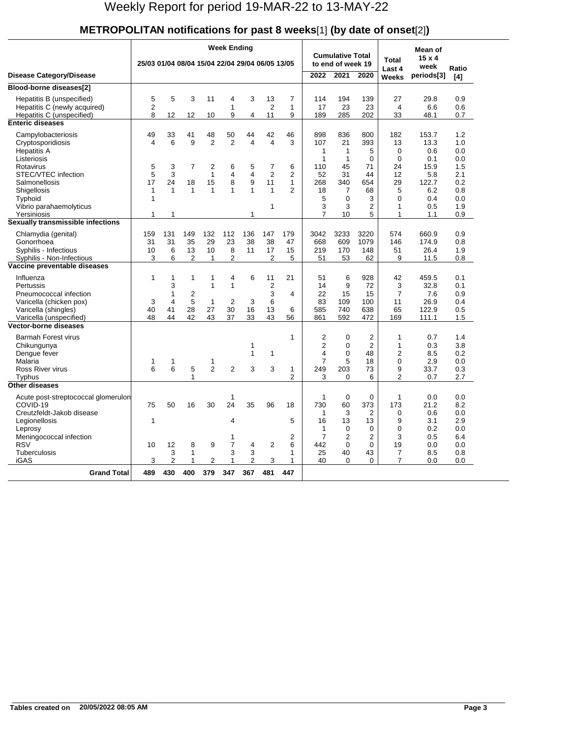# **METROPOLITAN notifications for past 8 weeks**[1] **(by date of onset**[2]**)**

|                                                                                                                                |                                                 |                                                                 |                         |                                                          | Week Ending                          |                               |                                            |                          |                                                                                  |                                                      |                                                             |                                                             | Mean of                                        |                                        |
|--------------------------------------------------------------------------------------------------------------------------------|-------------------------------------------------|-----------------------------------------------------------------|-------------------------|----------------------------------------------------------|--------------------------------------|-------------------------------|--------------------------------------------|--------------------------|----------------------------------------------------------------------------------|------------------------------------------------------|-------------------------------------------------------------|-------------------------------------------------------------|------------------------------------------------|----------------------------------------|
|                                                                                                                                | 25/03 01/04 08/04 15/04 22/04 29/04 06/05 13/05 |                                                                 |                         |                                                          |                                      |                               |                                            |                          |                                                                                  | <b>Cumulative Total</b><br>to end of week 19         |                                                             | <b>Total</b>                                                | $15 \times 4$                                  |                                        |
| <b>Disease Category/Disease</b>                                                                                                |                                                 |                                                                 |                         |                                                          |                                      |                               |                                            |                          | 2022                                                                             | 2021                                                 | 2020                                                        | Last 4                                                      | week<br>periods[3]                             | Ratio                                  |
|                                                                                                                                |                                                 |                                                                 |                         |                                                          |                                      |                               |                                            |                          |                                                                                  |                                                      |                                                             | <b>Weeks</b>                                                |                                                | [4]                                    |
| Blood-borne diseases[2]                                                                                                        |                                                 |                                                                 |                         |                                                          |                                      |                               |                                            |                          |                                                                                  |                                                      |                                                             |                                                             |                                                |                                        |
| Hepatitis B (unspecified)<br>Hepatitis C (newly acquired)                                                                      | 5<br>2                                          | 5                                                               | 3                       | 11                                                       | 4<br>1                               | 3                             | 13<br>$\overline{2}$                       | $\overline{7}$<br>1      | 114<br>17                                                                        | 194<br>23                                            | 139<br>23                                                   | 27<br>4                                                     | 29.8<br>6.6                                    | 0.9<br>0.6                             |
| Hepatitis C (unspecified)                                                                                                      | 8                                               | 12                                                              | 12                      | 10                                                       | 9                                    | 4                             | 11                                         | 9                        | 189                                                                              | 285                                                  | 202                                                         | 33                                                          | 48.1                                           | 0.7                                    |
| <b>Enteric diseases</b>                                                                                                        |                                                 |                                                                 |                         |                                                          |                                      |                               |                                            |                          |                                                                                  |                                                      |                                                             |                                                             |                                                |                                        |
| Campylobacteriosis<br>Cryptosporidiosis<br><b>Hepatitis A</b><br>Listeriosis                                                   | 49<br>4                                         | 33<br>6                                                         | 41<br>9                 | 48<br>$\overline{2}$                                     | 50<br>$\overline{2}$                 | 44<br>$\overline{\mathbf{4}}$ | 42<br>4                                    | 46<br>3                  | 898<br>107<br>1<br>$\mathbf{1}$                                                  | 836<br>21<br>$\mathbf 1$<br>$\mathbf{1}$             | 800<br>393<br>5<br>$\Omega$                                 | 182<br>13<br>0<br>$\Omega$                                  | 153.7<br>13.3<br>0.6<br>0.1                    | 1.2<br>1.0<br>0.0<br>0.0               |
| Rotavirus                                                                                                                      | 5                                               | 3                                                               | $\overline{7}$          | $\overline{2}$                                           | 6                                    | 5                             | 7                                          | 6                        | 110                                                                              | 45                                                   | 71                                                          | 24                                                          | 15.9                                           | 1.5                                    |
| STEC/VTEC infection                                                                                                            | 5                                               | 3                                                               |                         | $\mathbf{1}$                                             | 4                                    | 4                             | $\overline{2}$                             | $\overline{2}$           | 52                                                                               | 31                                                   | 44                                                          | 12                                                          | 5.8                                            | 2.1                                    |
| Salmonellosis                                                                                                                  | 17                                              | 24                                                              | 18                      | 15                                                       | 8                                    | 9                             | 11                                         | 1                        | 268                                                                              | 340                                                  | 654                                                         | 29                                                          | 122.7                                          | 0.2                                    |
| Shigellosis                                                                                                                    | 1                                               | $\mathbf{1}$                                                    | $\mathbf{1}$            | $\mathbf{1}$                                             | 1                                    | $\mathbf{1}$                  | $\mathbf{1}$                               | $\mathfrak{p}$           | 18                                                                               | 7                                                    | 68                                                          | 5<br>$\Omega$                                               | 6.2                                            | 0.8                                    |
| Typhoid<br>Vibrio parahaemolyticus                                                                                             | $\mathbf{1}$                                    |                                                                 |                         |                                                          |                                      |                               | 1                                          |                          | 5<br>3                                                                           | $\Omega$<br>3                                        | 3<br>$\overline{2}$                                         | 1                                                           | 0.4<br>0.5                                     | 0.0<br>1.9                             |
| Yersiniosis                                                                                                                    | 1                                               | 1                                                               |                         |                                                          |                                      | 1                             |                                            |                          | $\overline{7}$                                                                   | 10                                                   | 5                                                           | 1                                                           | 1.1                                            | 0.9                                    |
| Sexually transmissible infections                                                                                              |                                                 |                                                                 |                         |                                                          |                                      |                               |                                            |                          |                                                                                  |                                                      |                                                             |                                                             |                                                |                                        |
| Chlamydia (genital)<br>Gonorrhoea<br>Syphilis - Infectious                                                                     | 159<br>31<br>10                                 | 131<br>31<br>6                                                  | 149<br>35<br>13         | 132<br>29<br>10                                          | 112<br>23<br>8                       | 136<br>38<br>11               | 147<br>38<br>17                            | 179<br>47<br>15          | 3042<br>668<br>219                                                               | 3233<br>609<br>170                                   | 3220<br>1079<br>148                                         | 574<br>146<br>51                                            | 660.9<br>174.9<br>26.4                         | 0.9<br>0.8<br>1.9                      |
| Syphilis - Non-Infectious                                                                                                      | 3                                               | 6                                                               | $\overline{2}$          | $\mathbf{1}$                                             | 2                                    |                               | $\overline{2}$                             | 5                        | 51                                                                               | 53                                                   | 62                                                          | 9                                                           | 11.5                                           | 0.8                                    |
| Vaccine preventable diseases                                                                                                   |                                                 |                                                                 |                         |                                                          |                                      |                               |                                            |                          |                                                                                  |                                                      |                                                             |                                                             |                                                |                                        |
| Influenza<br>Pertussis<br>Pneumococcal infection<br>Varicella (chicken pox)<br>Varicella (shingles)<br>Varicella (unspecified) | 1<br>3<br>40<br>48                              | $\mathbf{1}$<br>3<br>$\mathbf{1}$<br>$\overline{4}$<br>41<br>44 | 1<br>2<br>5<br>28<br>42 | $\mathbf{1}$<br>$\mathbf{1}$<br>$\mathbf{1}$<br>27<br>43 | 4<br>1<br>$\overline{2}$<br>30<br>37 | 6<br>3<br>16<br>33            | 11<br>$\overline{2}$<br>3<br>6<br>13<br>43 | 21<br>4<br>6<br>56       | 51<br>14<br>22<br>83<br>585<br>861                                               | 6<br>9<br>15<br>109<br>740<br>592                    | 928<br>72<br>15<br>100<br>638<br>472                        | 42<br>3<br>$\overline{7}$<br>11<br>65<br>169                | 459.5<br>32.8<br>7.6<br>26.9<br>122.9<br>111.1 | 0.1<br>0.1<br>0.9<br>0.4<br>0.5<br>1.5 |
| <b>Vector-borne diseases</b>                                                                                                   |                                                 |                                                                 |                         |                                                          |                                      |                               |                                            |                          |                                                                                  |                                                      |                                                             |                                                             |                                                |                                        |
| Barmah Forest virus<br>Chikungunya<br>Dengue fever<br>Malaria<br>Ross River virus<br>Typhus                                    | 1<br>6                                          | 1<br>6                                                          | 5<br>1                  | 1<br>$\overline{2}$                                      | $\overline{2}$                       | 1<br>1<br>3                   | $\mathbf{1}$<br>3                          | 1<br>1<br>$\overline{2}$ | $\overline{2}$<br>$\overline{2}$<br>$\overline{4}$<br>$\overline{7}$<br>249<br>3 | $\Omega$<br>$\mathbf 0$<br>0<br>5<br>203<br>$\Omega$ | $\overline{2}$<br>$\overline{2}$<br>48<br>18<br>73<br>6     | 1<br>1<br>$\overline{2}$<br>$\Omega$<br>9<br>$\overline{2}$ | 0.7<br>0.3<br>8.5<br>2.9<br>33.7<br>0.7        | 1.4<br>3.8<br>0.2<br>0.0<br>0.3<br>2.7 |
| Other diseases                                                                                                                 |                                                 |                                                                 |                         |                                                          |                                      |                               |                                            |                          |                                                                                  |                                                      |                                                             |                                                             |                                                |                                        |
| Acute post-streptococcal glomerulon<br>COVID-19<br>Creutzfeldt-Jakob disease<br>Legionellosis<br>Leprosy                       | 75<br>$\mathbf{1}$                              | 50                                                              | 16                      | 30                                                       | 1<br>24<br>4<br>1                    | 35                            | 96                                         | 18<br>5<br>2             | $\mathbf{1}$<br>730<br>1<br>16<br>1<br>7                                         | $\mathbf 0$<br>60<br>3<br>13<br>0<br>$\overline{2}$  | $\mathbf 0$<br>373<br>2<br>13<br>$\Omega$<br>$\overline{2}$ | 1<br>173<br>0<br>9<br>$\Omega$<br>3                         | 0.0<br>21.2<br>0.6<br>3.1<br>0.2<br>0.5        | 0.0<br>8.2<br>0.0<br>2.9<br>0.0<br>6.4 |
| Meningococcal infection<br><b>RSV</b>                                                                                          | 10                                              | 12                                                              | 8                       | 9                                                        | $\overline{7}$                       | 4                             | 2                                          | 6                        | 442                                                                              | 0                                                    | 0                                                           | 19                                                          | 0.0                                            | 0.0                                    |
| Tuberculosis                                                                                                                   |                                                 | 3                                                               | $\mathbf{1}$            |                                                          | 3                                    | 3                             |                                            | 1                        | 25                                                                               | 40                                                   | 43                                                          | $\overline{7}$                                              | 8.5                                            | 0.8                                    |
| iGAS                                                                                                                           | 3                                               | $\overline{2}$                                                  | 1                       | $\overline{2}$                                           | 1                                    | $\overline{2}$                | 3                                          | 1                        | 40                                                                               | $\Omega$                                             | $\Omega$                                                    | 7                                                           | 0.0                                            | 0.0                                    |
| <b>Grand Total</b>                                                                                                             | 489                                             | 430                                                             | 400                     | 379                                                      | 347                                  | 367                           | 481                                        | 447                      |                                                                                  |                                                      |                                                             |                                                             |                                                |                                        |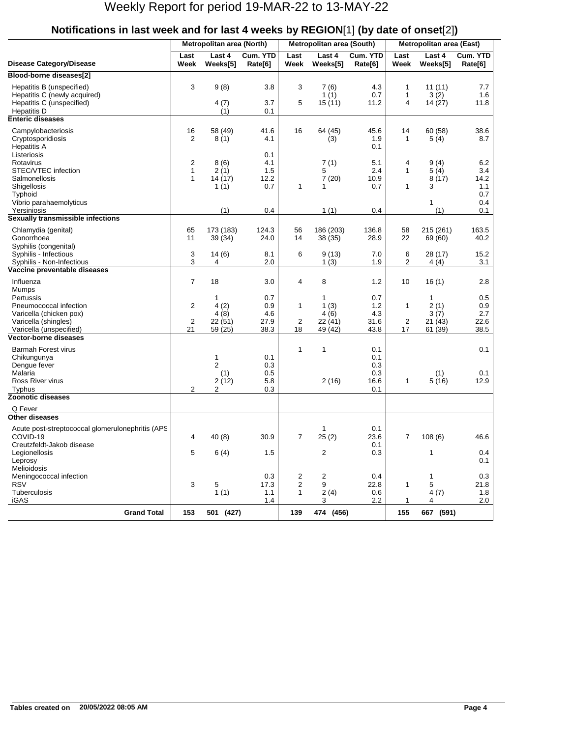|                                                                                                                                         |                                             | Metropolitan area (North)                    |                                          |                          | Metropolitan area (South)                    |                                          | Metropolitan area (East)     |                                                 |                                          |  |
|-----------------------------------------------------------------------------------------------------------------------------------------|---------------------------------------------|----------------------------------------------|------------------------------------------|--------------------------|----------------------------------------------|------------------------------------------|------------------------------|-------------------------------------------------|------------------------------------------|--|
| <b>Disease Category/Disease</b>                                                                                                         | Last<br>Week                                | Last 4<br>Weeks[5]                           | Cum. YTD<br>Rate[6]                      | Last<br>Week             | Last 4<br>Weeks[5]                           | Cum. YTD<br>Rate[6]                      | Last<br>Week                 | Last 4<br>Weeks[5]                              | Cum. YTD<br>Rate[6]                      |  |
| Blood-borne diseases[2]                                                                                                                 |                                             |                                              |                                          |                          |                                              |                                          |                              |                                                 |                                          |  |
| Hepatitis B (unspecified)<br>Hepatitis C (newly acquired)<br>Hepatitis C (unspecified)<br><b>Hepatitis D</b><br><b>Enteric diseases</b> | 3                                           | 9(8)<br>4(7)<br>(1)                          | 3.8<br>3.7<br>0.1                        | 3<br>5                   | 7(6)<br>1(1)<br>15(11)                       | 4.3<br>0.7<br>11.2                       | 1<br>1<br>4                  | 11(11)<br>3(2)<br>14 (27)                       | 7.7<br>1.6<br>11.8                       |  |
|                                                                                                                                         |                                             |                                              |                                          |                          |                                              |                                          |                              |                                                 |                                          |  |
| Campylobacteriosis<br>Cryptosporidiosis<br><b>Hepatitis A</b><br>Listeriosis                                                            | 16<br>2                                     | 58 (49)<br>8(1)                              | 41.6<br>4.1<br>0.1                       | 16                       | 64 (45)<br>(3)                               | 45.6<br>1.9<br>0.1                       | 14<br>$\mathbf{1}$           | 60 (58)<br>5(4)                                 | 38.6<br>8.7                              |  |
| Rotavirus<br>STEC/VTEC infection<br>Salmonellosis<br><b>Shigellosis</b><br>Typhoid<br>Vibrio parahaemolyticus                           | 2<br>$\mathbf{1}$<br>$\mathbf{1}$           | 8(6)<br>2(1)<br>14 (17)<br>1(1)              | 4.1<br>1.5<br>12.2<br>0.7                | 1                        | 7(1)<br>5<br>7(20)<br>1                      | 5.1<br>2.4<br>10.9<br>0.7                | 4<br>1<br>1                  | 9(4)<br>5(4)<br>8(17)<br>3<br>1                 | 6.2<br>3.4<br>14.2<br>1.1<br>0.7<br>0.4  |  |
| Yersiniosis                                                                                                                             |                                             | (1)                                          | 0.4                                      |                          | 1(1)                                         | 0.4                                      |                              | (1)                                             | 0.1                                      |  |
| Sexually transmissible infections<br>Chlamydia (genital)<br>Gonorrhoea<br>Syphilis (congenital)                                         | 65<br>11                                    | 173 (183)<br>39 (34)                         | 124.3<br>24.0                            | 56<br>14                 | 186 (203)<br>38 (35)                         | 136.8<br>28.9                            | 58<br>22                     | 215 (261)<br>69 (60)                            | 163.5<br>40.2                            |  |
| Syphilis - Infectious<br>Syphilis - Non-Infectious                                                                                      | 3<br>3                                      | 14(6)<br>4                                   | 8.1<br>2.0                               | 6                        | 9(13)<br>1(3)                                | 7.0<br>1.9                               | 6<br>2                       | 28 (17)<br>4(4)                                 | 15.2<br>3.1                              |  |
| Vaccine preventable diseases                                                                                                            |                                             |                                              |                                          |                          |                                              |                                          |                              |                                                 |                                          |  |
| Influenza<br>Mumps<br>Pertussis<br>Pneumococcal infection<br>Varicella (chicken pox)<br>Varicella (shingles)<br>Varicella (unspecified) | 7<br>$\overline{c}$<br>$\overline{c}$<br>21 | 18<br>1<br>4(2)<br>4(8)<br>22(51)<br>59 (25) | 3.0<br>0.7<br>0.9<br>4.6<br>27.9<br>38.3 | 4<br>1<br>2<br>18        | 8<br>1<br>1(3)<br>4(6)<br>22 (41)<br>49 (42) | 1.2<br>0.7<br>1.2<br>4.3<br>31.6<br>43.8 | 10<br>1<br>2<br>17           | 16(1)<br>1<br>2(1)<br>3(7)<br>21(43)<br>61 (39) | 2.8<br>0.5<br>0.9<br>2.7<br>22.6<br>38.5 |  |
| <b>Vector-borne diseases</b>                                                                                                            |                                             |                                              |                                          |                          |                                              |                                          |                              |                                                 |                                          |  |
| <b>Barmah Forest virus</b><br>Chikungunya<br>Dengue fever<br>Malaria<br>Ross River virus<br>Typhus                                      | $\overline{2}$                              | 1<br>$\overline{2}$<br>(1)<br>2(12)<br>2     | 0.1<br>0.3<br>0.5<br>5.8<br>0.3          | 1                        | 1<br>2(16)                                   | 0.1<br>0.1<br>0.3<br>0.3<br>16.6<br>0.1  | 1                            | (1)<br>5(16)                                    | 0.1<br>0.1<br>12.9                       |  |
| <b>Zoonotic diseases</b>                                                                                                                |                                             |                                              |                                          |                          |                                              |                                          |                              |                                                 |                                          |  |
| Q Fever                                                                                                                                 |                                             |                                              |                                          |                          |                                              |                                          |                              |                                                 |                                          |  |
| <b>Other diseases</b>                                                                                                                   |                                             |                                              |                                          |                          |                                              |                                          |                              |                                                 |                                          |  |
| Acute post-streptococcal glomerulonephritis (APS<br>COVID-19<br>Creutzfeldt-Jakob disease<br>Legionellosis<br>Leprosy                   | 4<br>5                                      | 40 (8)<br>6(4)                               | 30.9<br>1.5                              | 7                        | 1<br>25(2)<br>2                              | 0.1<br>23.6<br>0.1<br>0.3                | 7                            | 108 (6)<br>1                                    | 46.6<br>0.4                              |  |
| Melioidosis<br>Meningococcal infection<br><b>RSV</b><br>Tuberculosis<br><b>iGAS</b>                                                     | 3                                           | 5<br>1(1)                                    | 0.3<br>17.3<br>1.1<br>1.4                | 2<br>$\overline{2}$<br>1 | 2<br>9<br>2(4)<br>3                          | 0.4<br>22.8<br>0.6<br>2.2                | $\mathbf{1}$<br>$\mathbf{1}$ | 1<br>5<br>4(7)<br>4                             | 0.1<br>0.3<br>21.8<br>1.8<br>2.0         |  |
| <b>Grand Total</b>                                                                                                                      | 153                                         | 501 (427)                                    |                                          | 139                      | 474 (456)                                    |                                          | 155                          | 667 (591)                                       |                                          |  |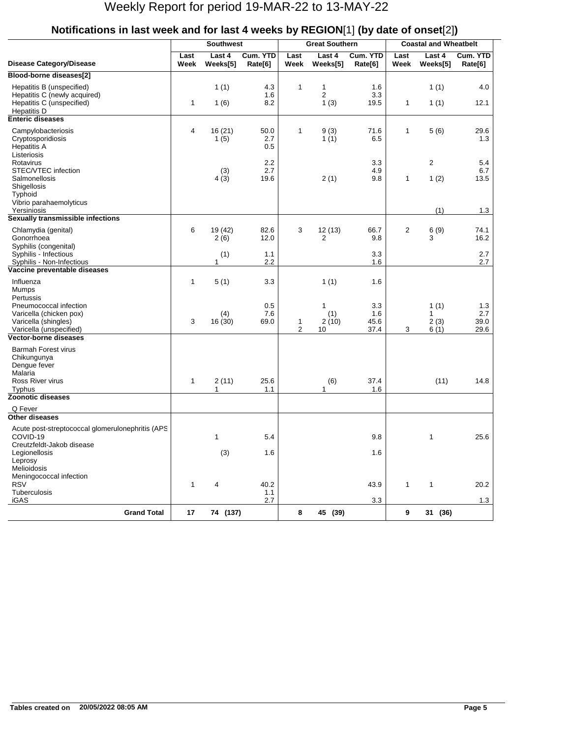|                                                                                                        |              | <b>Southwest</b>   |                     |                               | <b>Great Southern</b>   |                            |                | <b>Coastal and Wheatbelt</b>         |                            |
|--------------------------------------------------------------------------------------------------------|--------------|--------------------|---------------------|-------------------------------|-------------------------|----------------------------|----------------|--------------------------------------|----------------------------|
| <b>Disease Category/Disease</b>                                                                        | Last<br>Week | Last 4<br>Weeks[5] | Cum. YTD<br>Rate[6] | Last<br>Week                  | Last 4<br>Weeks[5]      | Cum. YTD<br>Rate[6]        | Last<br>Week   | Last 4<br>Weeks[5]                   | Cum. YTD<br>Rate[6]        |
| Blood-borne diseases[2]                                                                                |              |                    |                     |                               |                         |                            |                |                                      |                            |
| Hepatitis B (unspecified)<br>Hepatitis C (newly acquired)<br>Hepatitis C (unspecified)<br>Hepatitis D  | 1            | 1(1)<br>1(6)       | 4.3<br>1.6<br>8.2   | $\mathbf{1}$                  | 1<br>2<br>1(3)          | 1.6<br>3.3<br>19.5         | 1              | 1(1)<br>1(1)                         | 4.0<br>12.1                |
| <b>Enteric diseases</b>                                                                                |              |                    |                     |                               |                         |                            |                |                                      |                            |
| Campylobacteriosis<br>Cryptosporidiosis<br><b>Hepatitis A</b><br>Listeriosis                           | 4            | 16(21)<br>1(5)     | 50.0<br>2.7<br>0.5  | $\mathbf 1$                   | 9(3)<br>1 $(1)$         | 71.6<br>6.5                | 1              | 5(6)                                 | 29.6<br>1.3                |
| Rotavirus<br>STEC/VTEC infection<br>Salmonellosis<br>Shigellosis<br>Typhoid<br>Vibrio parahaemolyticus |              | (3)<br>4(3)        | 2.2<br>2.7<br>19.6  |                               | 2(1)                    | 3.3<br>4.9<br>9.8          | 1              | $\overline{2}$<br>1(2)               | 5.4<br>6.7<br>13.5         |
| Yersiniosis                                                                                            |              |                    |                     |                               |                         |                            |                | (1)                                  | 1.3                        |
| Sexually transmissible infections                                                                      |              |                    |                     |                               |                         |                            |                |                                      |                            |
| Chlamydia (genital)<br>Gonorrhoea<br>Syphilis (congenital)                                             | 6            | 19 (42)<br>2(6)    | 82.6<br>12.0        | 3                             | 12(13)<br>2             | 66.7<br>9.8                | $\overline{2}$ | 6(9)<br>3                            | 74.1<br>16.2               |
| Syphilis - Infectious                                                                                  |              | (1)                | 1.1                 |                               |                         | 3.3                        |                |                                      | 2.7                        |
| Syphilis - Non-Infectious<br>Vaccine preventable diseases                                              |              | 1                  | 2.2                 |                               |                         | 1.6                        |                |                                      | 2.7                        |
| Influenza<br><b>Mumps</b><br>Pertussis                                                                 | 1            | 5(1)               | 3.3                 |                               | 1(1)                    | 1.6                        |                |                                      |                            |
| Pneumococcal infection<br>Varicella (chicken pox)<br>Varicella (shingles)<br>Varicella (unspecified)   | 3            | (4)<br>16(30)      | 0.5<br>7.6<br>69.0  | $\mathbf 1$<br>$\overline{2}$ | 1<br>(1)<br>2(10)<br>10 | 3.3<br>1.6<br>45.6<br>37.4 | 3              | 1(1)<br>$\mathbf{1}$<br>2(3)<br>6(1) | 1.3<br>2.7<br>39.0<br>29.6 |
| Vector-borne diseases                                                                                  |              |                    |                     |                               |                         |                            |                |                                      |                            |
| <b>Barmah Forest virus</b><br>Chikungunya<br>Dengue fever<br>Malaria<br>Ross River virus<br>Typhus     | $\mathbf{1}$ | 2(11)<br>1         | 25.6<br>1.1         |                               | (6)<br>1                | 37.4<br>1.6                |                | (11)                                 | 14.8                       |
| <b>Zoonotic diseases</b>                                                                               |              |                    |                     |                               |                         |                            |                |                                      |                            |
| Q Fever                                                                                                |              |                    |                     |                               |                         |                            |                |                                      |                            |
| <b>Other diseases</b>                                                                                  |              |                    |                     |                               |                         |                            |                |                                      |                            |
| Acute post-streptococcal glomerulonephritis (APS<br>COVID-19<br>Creutzfeldt-Jakob disease              |              | 1                  | 5.4                 |                               |                         | 9.8                        |                | 1                                    | 25.6                       |
| Legionellosis<br>Leprosy<br>Melioidosis<br>Meningococcal infection                                     |              | (3)                | 1.6                 |                               |                         | 1.6                        |                |                                      |                            |
| <b>RSV</b><br>Tuberculosis                                                                             | $\mathbf{1}$ | 4                  | 40.2<br>1.1         |                               |                         | 43.9                       | $\mathbf{1}$   | 1                                    | 20.2                       |
| iGAS                                                                                                   |              |                    | 2.7                 |                               |                         | 3.3                        |                |                                      | 1.3                        |
| <b>Grand Total</b>                                                                                     | 17           | 74 (137)           |                     | 8                             | 45 (39)                 |                            | 9              | 31 (36)                              |                            |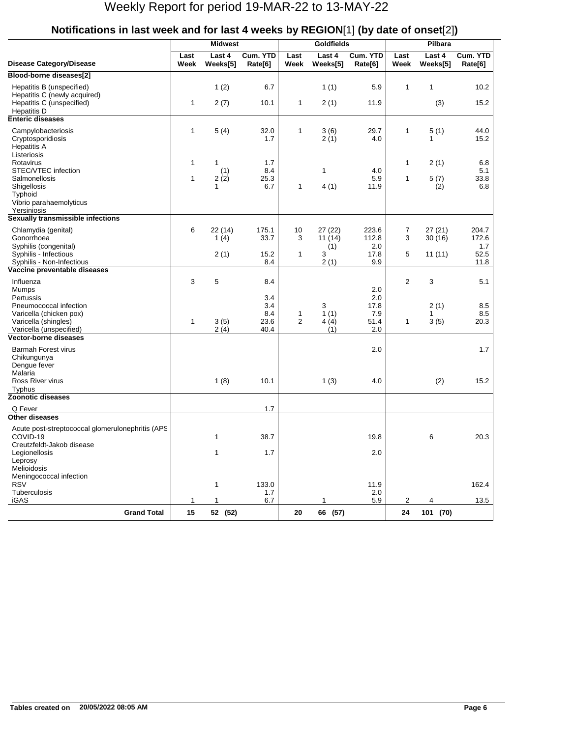|                                                                                        | <b>Midwest</b> |                    |                     |                     | <b>Goldfields</b>  |                     | Pilbara        |                    |                     |
|----------------------------------------------------------------------------------------|----------------|--------------------|---------------------|---------------------|--------------------|---------------------|----------------|--------------------|---------------------|
| <b>Disease Category/Disease</b>                                                        | Last<br>Week   | Last 4<br>Weeks[5] | Cum. YTD<br>Rate[6] | Last<br>Week        | Last 4<br>Weeks[5] | Cum. YTD<br>Rate[6] | Last<br>Week   | Last 4<br>Weeks[5] | Cum. YTD<br>Rate[6] |
| Blood-borne diseases[2]                                                                |                |                    |                     |                     |                    |                     |                |                    |                     |
| Hepatitis B (unspecified)<br>Hepatitis C (newly acquired)<br>Hepatitis C (unspecified) | $\mathbf{1}$   | 1(2)               | 6.7<br>10.1         |                     | 1(1)               | 5.9<br>11.9         | $\mathbf{1}$   | $\mathbf{1}$       | 10.2<br>15.2        |
| <b>Hepatitis D</b>                                                                     |                | 2(7)               |                     | $\mathbf{1}$        | 2(1)               |                     |                | (3)                |                     |
| <b>Enteric diseases</b>                                                                |                |                    |                     |                     |                    |                     |                |                    |                     |
| Campylobacteriosis<br>Cryptosporidiosis<br><b>Hepatitis A</b><br>Listeriosis           | $\mathbf{1}$   | 5(4)               | 32.0<br>1.7         | 1                   | 3(6)<br>2(1)       | 29.7<br>4.0         | $\mathbf{1}$   | 5(1)<br>1          | 44.0<br>15.2        |
| Rotavirus                                                                              | $\mathbf{1}$   | 1                  | 1.7                 |                     |                    |                     | 1              | 2(1)               | 6.8                 |
| STEC/VTEC infection                                                                    |                | (1)                | 8.4                 |                     | 1                  | 4.0                 |                |                    | 5.1                 |
| Salmonellosis                                                                          | $\mathbf{1}$   | 2(2)               | 25.3                |                     |                    | 5.9                 | $\mathbf{1}$   | 5(7)               | 33.8                |
| Shigellosis<br>Typhoid                                                                 |                | $\mathbf{1}$       | 6.7                 | 1                   | 4(1)               | 11.9                |                | (2)                | 6.8                 |
| Vibrio parahaemolyticus                                                                |                |                    |                     |                     |                    |                     |                |                    |                     |
| Yersiniosis                                                                            |                |                    |                     |                     |                    |                     |                |                    |                     |
| Sexually transmissible infections                                                      |                |                    |                     |                     |                    |                     |                |                    |                     |
| Chlamydia (genital)<br>Gonorrhoea                                                      | 6              | 22 (14)<br>1 $(4)$ | 175.1<br>33.7       | 10<br>3             | 27 (22)<br>11(14)  | 223.6<br>112.8      | 7<br>3         | 27(21)<br>30(16)   | 204.7<br>172.6      |
| Syphilis (congenital)<br>Syphilis - Infectious                                         |                |                    | 15.2                | $\mathbf{1}$        | (1)<br>3           | 2.0<br>17.8         | 5              |                    | 1.7<br>52.5         |
| Syphilis - Non-Infectious                                                              |                | 2(1)               | 8.4                 |                     | 2(1)               | 9.9                 |                | 11(11)             | 11.8                |
| Vaccine preventable diseases                                                           |                |                    |                     |                     |                    |                     |                |                    |                     |
| Influenza                                                                              | 3              | 5                  | 8.4                 |                     |                    |                     | $\overline{2}$ | 3                  | 5.1                 |
| <b>Mumps</b>                                                                           |                |                    |                     |                     |                    | 2.0                 |                |                    |                     |
| Pertussis                                                                              |                |                    | 3.4                 |                     |                    | 2.0                 |                |                    |                     |
| Pneumococcal infection                                                                 |                |                    | 3.4                 |                     | 3                  | 17.8                |                | 2(1)               | 8.5                 |
| Varicella (chicken pox)<br>Varicella (shingles)                                        | $\mathbf{1}$   | 3(5)               | 8.4<br>23.6         | 1<br>$\overline{2}$ | 1(1)<br>4(4)       | 7.9<br>51.4         | $\mathbf{1}$   | 1<br>3(5)          | 8.5<br>20.3         |
| Varicella (unspecified)                                                                |                | 2(4)               | 40.4                |                     | (1)                | 2.0                 |                |                    |                     |
| Vector-borne diseases                                                                  |                |                    |                     |                     |                    |                     |                |                    |                     |
| <b>Barmah Forest virus</b><br>Chikungunya<br>Dengue fever                              |                |                    |                     |                     |                    | 2.0                 |                |                    | 1.7                 |
| Malaria<br>Ross River virus<br>Typhus                                                  |                | 1(8)               | 10.1                |                     | 1(3)               | 4.0                 |                | (2)                | 15.2                |
| <b>Zoonotic diseases</b>                                                               |                |                    |                     |                     |                    |                     |                |                    |                     |
| Q Fever                                                                                |                |                    | 1.7                 |                     |                    |                     |                |                    |                     |
| Other diseases                                                                         |                |                    |                     |                     |                    |                     |                |                    |                     |
| Acute post-streptococcal glomerulonephritis (APS<br>COVID-19                           |                | 1                  | 38.7                |                     |                    | 19.8                |                | 6                  | 20.3                |
| Creutzfeldt-Jakob disease                                                              |                |                    |                     |                     |                    |                     |                |                    |                     |
| Legionellosis<br>Leprosy                                                               |                | 1                  | 1.7                 |                     |                    | 2.0                 |                |                    |                     |
| Melioidosis                                                                            |                |                    |                     |                     |                    |                     |                |                    |                     |
| Meningococcal infection                                                                |                |                    |                     |                     |                    |                     |                |                    |                     |
| <b>RSV</b>                                                                             |                | 1                  | 133.0               |                     |                    | 11.9                |                |                    | 162.4               |
| Tuberculosis<br>iGAS                                                                   | $\mathbf{1}$   | 1                  | 1.7<br>6.7          |                     | 1                  | 2.0<br>5.9          | 2              | 4                  | 13.5                |
| <b>Grand Total</b>                                                                     | 15             |                    |                     |                     |                    |                     |                |                    |                     |
|                                                                                        |                | 52 (52)            |                     | 20                  | 66 (57)            |                     | 24             | 101 (70)           |                     |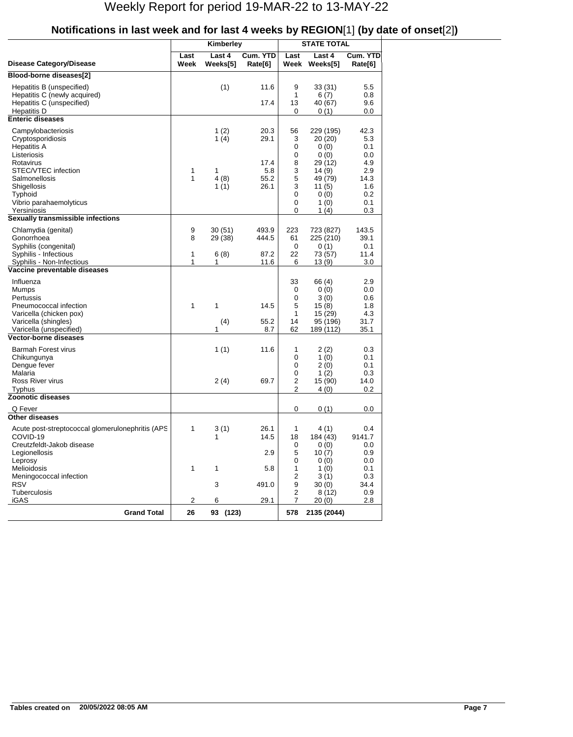|                                                                                                                                                                                 |                  | Kimberley                            |                                             |                                                 | <b>STATE TOTAL</b>                                                                                |                                                                          |
|---------------------------------------------------------------------------------------------------------------------------------------------------------------------------------|------------------|--------------------------------------|---------------------------------------------|-------------------------------------------------|---------------------------------------------------------------------------------------------------|--------------------------------------------------------------------------|
| Disease Category/Disease                                                                                                                                                        | Last<br>Week     | Last 4<br>Weeks[5]                   | Cum. YTD<br>Rate[6]                         | Last<br>Week                                    | Last 4<br>Weeks[5]                                                                                | Cum. YTD<br>Rate[6]                                                      |
| Blood-borne diseases[2]                                                                                                                                                         |                  |                                      |                                             |                                                 |                                                                                                   |                                                                          |
| Hepatitis B (unspecified)<br>Hepatitis C (newly acquired)<br>Hepatitis C (unspecified)<br>Hepatitis D                                                                           |                  | (1)                                  | 11.6<br>17.4                                | 9<br>1<br>13<br>0                               | 33(31)<br>6 (7)<br>40 (67)<br>0 (1)                                                               | 5.5<br>0.8<br>9.6<br>0.0                                                 |
| <b>Enteric diseases</b>                                                                                                                                                         |                  |                                      |                                             |                                                 |                                                                                                   |                                                                          |
| Campylobacteriosis<br>Cryptosporidiosis<br>Hepatitis A<br>Listeriosis<br>Rotavirus<br>STEC/VTEC infection<br>Salmonellosis<br>Shigellosis<br>Typhoid<br>Vibrio parahaemolyticus | 1<br>1           | 1(2)<br>1 $(4)$<br>1<br>4(8)<br>1(1) | 20.3<br>29.1<br>17.4<br>5.8<br>55.2<br>26.1 | 56<br>3<br>0<br>0<br>8<br>3<br>5<br>3<br>0<br>0 | 229 (195)<br>20 (20)<br>0(0)<br>0(0)<br>29 (12)<br>14 (9)<br>49 (79)<br>11 (5)<br>0(0)<br>1 $(0)$ | 42.3<br>5.3<br>0.1<br>0.0<br>4.9<br>2.9<br>14.3<br>1.6<br>$0.2\,$<br>0.1 |
| Yersiniosis                                                                                                                                                                     |                  |                                      |                                             | 0                                               | 1 (4)                                                                                             | 0.3                                                                      |
| Sexually transmissible infections<br>Chlamydia (genital)<br>Gonorrhoea<br>Syphilis (congenital)<br>Syphilis - Infectious<br>Syphilis - Non-Infectious                           | 9<br>8<br>1<br>1 | 30(51)<br>29 (38)<br>6(8)<br>1       | 493.9<br>444.5<br>87.2<br>11.6              | 223<br>61<br>0<br>22<br>6                       | 723 (827)<br>225 (210)<br>0(1)<br>73 (57)<br>13 (9)                                               | 143.5<br>39.1<br>0.1<br>11.4<br>3.0                                      |
| Vaccine preventable diseases                                                                                                                                                    |                  |                                      |                                             |                                                 |                                                                                                   |                                                                          |
| Influenza<br>Mumps<br>Pertussis<br>Pneumococcal infection<br>Varicella (chicken pox)<br>Varicella (shingles)<br>Varicella (unspecified)                                         | 1                | 1<br>(4)<br>1                        | 14.5<br>55.2<br>8.7                         | 33<br>0<br>0<br>5<br>1<br>14<br>62              | 66 (4)<br>0(0)<br>3 (0)<br>15(8)<br>15 (29)<br>95 (196)<br>189 (112)                              | 2.9<br>0.0<br>0.6<br>1.8<br>4.3<br>31.7<br>35.1                          |
| <b>Vector-borne diseases</b>                                                                                                                                                    |                  |                                      |                                             |                                                 |                                                                                                   |                                                                          |
| <b>Barmah Forest virus</b><br>Chikungunya<br>Dengue fever<br>Malaria<br>Ross River virus<br>Typhus                                                                              |                  | 1(1)<br>2(4)                         | 11.6<br>69.7                                | 1<br>0<br>0<br>0<br>2<br>2                      | 2 (2)<br>1(0)<br>2(0)<br>1(2)<br>15 (90)<br>4 (0)                                                 | 0.3<br>0.1<br>0.1<br>0.3<br>14.0<br>0.2                                  |
| Zoonotic diseases                                                                                                                                                               |                  |                                      |                                             |                                                 |                                                                                                   |                                                                          |
| Q Fever                                                                                                                                                                         |                  |                                      |                                             | 0                                               | 0(1)                                                                                              | 0.0                                                                      |
| <b>Other diseases</b><br>Acute post-streptococcal glomerulonephritis (APS<br>COVID-19<br>Creutzfeldt-Jakob disease<br>Legionellosis<br>Leprosy<br><b>Melioidosis</b>            | 1<br>1           | 3(1)<br>1                            | 26.1<br>14.5<br>2.9<br>5.8                  | 1<br>18<br>0<br>5<br>0<br>1                     | 4(1)<br>184(43)<br>0(0)<br>10(7)<br>0(0)<br>1(0)                                                  | 0.4<br>9141.7<br>0.0<br>0.9<br>0.0<br>0.1                                |
| Meningococcal infection<br><b>RSV</b><br>Tuberculosis<br><b>iGAS</b>                                                                                                            | $\mathbf{2}$     | 3<br>6                               | 491.0<br>29.1                               | 2<br>9<br>2<br>$\overline{7}$                   | 3(1)<br>30(0)<br>8 (12)<br>20(0)                                                                  | 0.3<br>34.4<br>0.9<br>2.8                                                |
| <b>Grand Total</b>                                                                                                                                                              | 26               | 93 (123)                             |                                             | 578                                             | 2135 (2044)                                                                                       |                                                                          |
|                                                                                                                                                                                 |                  |                                      |                                             |                                                 |                                                                                                   |                                                                          |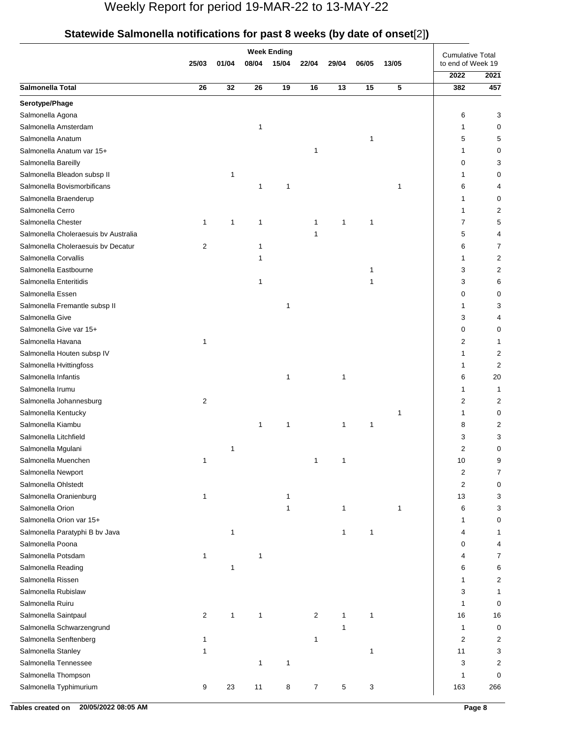| Statewide Salmonella notifications for past 8 weeks (by date of onset[2]) |  |  |
|---------------------------------------------------------------------------|--|--|
|                                                                           |  |  |

|                                      |                |              |              | <b>Week Ending</b> |                |       |       |       |                                              |      |
|--------------------------------------|----------------|--------------|--------------|--------------------|----------------|-------|-------|-------|----------------------------------------------|------|
|                                      | 25/03          | 01/04        | 08/04        | 15/04              | 22/04          | 29/04 | 06/05 | 13/05 | <b>Cumulative Total</b><br>to end of Week 19 |      |
|                                      |                |              |              |                    |                |       |       |       | 2022                                         | 2021 |
| Salmonella Total                     | 26             | 32           | 26           | 19                 | 16             | 13    | 15    | 5     | 382                                          | 457  |
| Serotype/Phage                       |                |              |              |                    |                |       |       |       |                                              |      |
| Salmonella Agona                     |                |              |              |                    |                |       |       |       | 6                                            | 3    |
| Salmonella Amsterdam                 |                |              | 1            |                    |                |       |       |       | 1                                            | 0    |
| Salmonella Anatum                    |                |              |              |                    |                |       | 1     |       | 5                                            | 5    |
| Salmonella Anatum var 15+            |                |              |              |                    | $\mathbf{1}$   |       |       |       | 1                                            | 0    |
| Salmonella Bareilly                  |                |              |              |                    |                |       |       |       | 0                                            | 3    |
| Salmonella Bleadon subsp II          |                | 1            |              |                    |                |       |       |       | 1                                            | 0    |
| Salmonella Bovismorbificans          |                |              | 1            | 1                  |                |       |       | 1     | 6                                            | 4    |
| Salmonella Braenderup                |                |              |              |                    |                |       |       |       | 1                                            | 0    |
| Salmonella Cerro                     |                |              |              |                    |                |       |       |       | 1                                            | 2    |
| Salmonella Chester                   | 1              | 1            | 1            |                    | 1              | 1     | 1     |       | 7                                            | 5    |
| Salmonella Choleraesuis by Australia |                |              |              |                    | 1              |       |       |       | 5                                            | 4    |
| Salmonella Choleraesuis by Decatur   | 2              |              | 1            |                    |                |       |       |       | 6                                            | 7    |
| Salmonella Corvallis                 |                |              | 1            |                    |                |       |       |       | 1                                            | 2    |
| Salmonella Eastbourne                |                |              |              |                    |                |       | 1     |       | 3                                            | 2    |
| Salmonella Enteritidis               |                |              | 1            |                    |                |       | 1     |       | 3                                            | 6    |
| Salmonella Essen                     |                |              |              |                    |                |       |       |       | 0                                            | 0    |
| Salmonella Fremantle subsp II        |                |              |              | $\mathbf{1}$       |                |       |       |       | 1                                            | 3    |
| Salmonella Give                      |                |              |              |                    |                |       |       |       | 3                                            | 4    |
| Salmonella Give var 15+              |                |              |              |                    |                |       |       |       | 0                                            | 0    |
| Salmonella Havana                    | 1              |              |              |                    |                |       |       |       | 2                                            | 1    |
| Salmonella Houten subsp IV           |                |              |              |                    |                |       |       |       | 1                                            | 2    |
| Salmonella Hvittingfoss              |                |              |              |                    |                |       |       |       | 1                                            | 2    |
| Salmonella Infantis                  |                |              |              | 1                  |                | 1     |       |       | 6                                            | 20   |
| Salmonella Irumu                     |                |              |              |                    |                |       |       |       | 1                                            | 1    |
| Salmonella Johannesburg              | $\overline{c}$ |              |              |                    |                |       |       |       | 2                                            | 2    |
| Salmonella Kentucky                  |                |              |              |                    |                |       |       | 1     | 1                                            | 0    |
| Salmonella Kiambu                    |                |              | 1            | 1                  |                | 1     | 1     |       | 8                                            | 2    |
| Salmonella Litchfield                |                |              |              |                    |                |       |       |       | 3                                            | 3    |
| Salmonella Mgulani                   |                | 1            |              |                    |                |       |       |       | 2                                            | 0    |
| Salmonella Muenchen                  | 1              |              |              |                    | 1              | 1     |       |       | 10                                           | 9    |
| Salmonella Newport                   |                |              |              |                    |                |       |       |       | 2                                            | 7    |
| Salmonella Ohlstedt                  |                |              |              |                    |                |       |       |       | $\overline{2}$                               | 0    |
| Salmonella Oranienburg               | 1              |              |              | 1                  |                |       |       |       | 13                                           | 3    |
| Salmonella Orion                     |                |              |              | 1                  |                | 1     |       | 1     | 6                                            | 3    |
| Salmonella Orion var 15+             |                |              |              |                    |                |       |       |       | 1                                            | 0    |
| Salmonella Paratyphi B bv Java       |                | 1            |              |                    |                | 1     | 1     |       | 4                                            | 1    |
| Salmonella Poona                     |                |              |              |                    |                |       |       |       | 0                                            | 4    |
| Salmonella Potsdam                   | 1              |              | 1            |                    |                |       |       |       | 4                                            | 7    |
| Salmonella Reading                   |                | $\mathbf{1}$ |              |                    |                |       |       |       | 6                                            | 6    |
| Salmonella Rissen                    |                |              |              |                    |                |       |       |       | 1                                            | 2    |
| Salmonella Rubislaw                  |                |              |              |                    |                |       |       |       | 3                                            | 1    |
| Salmonella Ruiru                     |                |              |              |                    |                |       |       |       | 1                                            | 0    |
| Salmonella Saintpaul                 | 2              | 1            | $\mathbf{1}$ |                    | $\overline{2}$ | 1     | 1     |       | 16                                           | 16   |
| Salmonella Schwarzengrund            |                |              |              |                    |                | 1     |       |       | 1                                            | 0    |
| Salmonella Senftenberg               | 1              |              |              |                    | 1              |       |       |       | $\overline{2}$                               | 2    |
| Salmonella Stanley                   | 1              |              |              |                    |                |       | 1     |       | 11                                           | 3    |
| Salmonella Tennessee                 |                |              | 1            | $\mathbf{1}$       |                |       |       |       | 3                                            | 2    |
| Salmonella Thompson                  |                |              |              |                    |                |       |       |       | 1                                            | 0    |
| Salmonella Typhimurium               | 9              | 23           | 11           | 8                  | $\overline{7}$ | 5     | 3     |       | 163                                          | 266  |